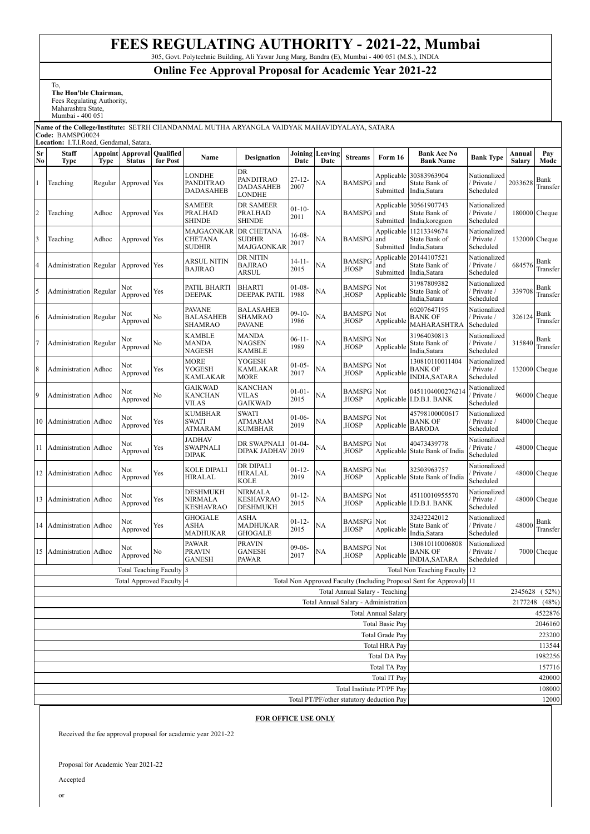## **FEES REGULATING AUTHORITY - 2021-22, Mumbai**

305, Govt. Polytechnic Building, Ali Yawar Jung Marg, Bandra (E), Mumbai - 400 051 (M.S.), INDIA

## **Online Fee Approval Proposal for Academic Year 2021-22**

To, **The Hon'ble Chairman,**

Fees Regulating Authority, Maharashtra State,

Mumbai - 400 051

## **Name of the College/Institute:** SETRH CHANDANMAL MUTHA ARYANGLA VAIDYAK MAHAVIDYALAYA, SATARA **Code:** BAMSPG0024 **Location:** I.T.I.Road, Gendamal, Satara.

| Sr<br>No                                                                                         | <b>Staff</b><br><b>Type</b>                                        | <b>Type</b> | <b>Appoint Approval</b><br><b>Status</b> | Qualified<br>for Post | Name                                      | <b>Designation</b>                        | Date                | <b>Joining Leaving</b><br>Date | <b>Streams</b>           | Form 16                        | <b>Bank Acc No</b><br><b>Bank Name</b>                     | <b>Bank Type</b>                         | Annual<br><b>Salary</b> | Pay<br>Mode      |
|--------------------------------------------------------------------------------------------------|--------------------------------------------------------------------|-------------|------------------------------------------|-----------------------|-------------------------------------------|-------------------------------------------|---------------------|--------------------------------|--------------------------|--------------------------------|------------------------------------------------------------|------------------------------------------|-------------------------|------------------|
| 1                                                                                                | Teaching                                                           | Regular     | Approved Yes                             |                       | <b>LONDHE</b><br>PANDITRAO<br>DADASAHEB   | DR<br>PANDITRAO<br>DADASAHEB<br>LONDHE    | $27 - 12 -$<br>2007 | NA                             | <b>BAMSPG</b>            | and<br>Submitted               | Applicable 30383963904<br>State Bank of<br>India, Satara   | Nationalized<br>/ Private /<br>Scheduled | 2033628                 | Bank<br>Transfer |
| $\overline{2}$                                                                                   | Teaching                                                           | Adhoc       | Approved Yes                             |                       | <b>SAMEER</b><br>PRALHAD<br>SHINDE        | DR SAMEER<br>PRALHAD<br>SHINDE            | $01 - 10 -$<br>2011 | <b>NA</b>                      | <b>BAMSPG</b>            | and<br>Submitted               | Applicable 30561907743<br>State Bank of<br>India, koregaon | Nationalized<br>/ Private /<br>Scheduled |                         | 180000 Cheque    |
| $\overline{\mathbf{3}}$                                                                          | Teaching                                                           | Adhoc       | Approved Yes                             |                       | MAJGAONKAR<br>CHETANA<br><b>SUDHIR</b>    | DR CHETANA<br><b>SUDHIR</b><br>MAJGAONKAR | 16-08-<br>2017      | NA                             | <b>BAMSPG</b>            | Applicable<br>and<br>Submitted | 11213349674<br>State Bank of<br>India, Satara              | Nationalized<br>/ Private /<br>Scheduled |                         | 132000 Cheque    |
| $\overline{4}$                                                                                   | Administration Regular                                             |             | Approved Yes                             |                       | ARSUL NITIN<br><b>BAJIRAO</b>             | DR NITIN<br><b>BAJIRAO</b><br>ARSUL       | $14 - 11 -$<br>2015 | NA                             | <b>BAMSPG</b><br>HOSP,   | Applicable<br>and<br>Submitted | 20144107521<br>State Bank of<br>India, Satara              | Nationalized<br>Private /<br>Scheduled   | 684576                  | Bank<br>Transfer |
| 5                                                                                                | Administration Regular                                             |             | Not<br>Approved                          | Yes                   | PATIL BHARTI<br>DEEPAK                    | BHARTI<br><b>DEEPAK PATIL</b>             | $01-08-$<br>1988    | NA                             | <b>BAMSPG</b><br>HOSP,   | Not<br>Applicable              | 31987809382<br>State Bank of<br>India,Satara               | Nationalized<br>Private /<br>Scheduled   | 339708                  | Bank<br>Transfer |
| 6                                                                                                | <b>Administration</b> Regular                                      |             | Not<br>Approved                          | No                    | PAVANE<br><b>BALASAHEB</b><br>SHAMRAO     | BALASAHEB<br><b>SHAMRAO</b><br>PAVANE     | $09 - 10 -$<br>1986 | NA                             | BAMSPG<br>HOSP,          | Not<br>Applicable              | 60207647195<br><b>BANK OF</b><br>MAHARASHTRA               | Nationalized<br>/ Private /<br>Scheduled | 326124                  | Bank<br>Transfer |
| $\overline{7}$                                                                                   | Administration Regular                                             |             | Not<br>Approved                          | No                    | <b>KAMBLE</b><br>MANDA<br>NAGESH          | <b>MANDA</b><br>NAGSEN<br>KAMBLE          | $06-11-$<br>1989    | NA                             | BAMSPG<br>HOSP,          | Not<br>Applicable              | 31964030813<br>State Bank of<br>India, Satara              | Nationalized<br>/ Private /<br>Scheduled | 315840                  | Bank<br>Transfer |
| $8\phantom{.0}$                                                                                  | Administration                                                     | Adhoc       | Not<br>Approved                          | Yes                   | MORE<br>YOGESH<br>KAMLAKAR                | YOGESH<br><b>KAMLAKAR</b><br>MORE         | $01-05-$<br>2017    | NA                             | <b>BAMSPG</b><br>HOSP,   | Not<br>Applicable              | 130810110011404<br><b>BANK OF</b><br><b>INDIA, SATARA</b>  | Nationalized<br>Private /<br>Scheduled   |                         | 132000 Cheque    |
| 9                                                                                                | <b>Administration</b> Adhoc                                        |             | Not<br>Approved                          | No                    | <b>GAIKWAD</b><br>KANCHAN<br>VILAS        | KANCHAN<br>VILAS<br><b>GAIKWAD</b>        | $01 - 01 -$<br>2015 | NA                             | <b>BAMSPG</b><br>HOSP,   | Not                            | 0451104000276214<br>Applicable I.D.B.I. BANK               | Nationalized<br>Private /<br>Scheduled   |                         | 96000 Cheque     |
| 10                                                                                               | Administration                                                     | Adhoc       | Not<br>Approved                          | Yes                   | <b>KUMBHAR</b><br><b>SWATI</b><br>ATMARAM | <b>SWATI</b><br>ATMARAM<br>KUMBHAR        | $01-06-$<br>2019    | NA                             | <b>BAMSPG</b><br>HOSP,   | Not<br>Applicable              | 45798100000617<br><b>BANK OF</b><br><b>BARODA</b>          | Nationalized<br>/ Private /<br>Scheduled |                         | 84000 Cheque     |
| 11                                                                                               | Administration Adhoc                                               |             | Not<br>Approved                          | Yes                   | JADHAV<br><b>SWAPNALI</b><br>DIPAK        | DR SWAPNALI<br>DIPAK JADHAV               | $01 - 04$<br>2019   | NA                             | <b>BAMSPG</b><br>HOSP,   | Not<br>Applicable              | 40473439778<br>State Bank of India                         | Nationalized<br>Private /<br>Scheduled   |                         | 48000 Cheque     |
| 12                                                                                               | Administration Adhoc                                               |             | Not<br>Approved                          | Yes                   | KOLE DIPALI<br>HIRALAL                    | DR DIPALI<br>HIRALAL<br>KOLE              | $01 - 12 -$<br>2019 | <b>NA</b>                      | <b>BAMSPG</b><br>HOSP,   | Not<br>Applicable              | 32503963757<br>State Bank of India                         | Nationalized<br>Private /<br>Scheduled   |                         | 48000 Cheque     |
| 13                                                                                               | Administration                                                     | Adhoc       | Not<br>Approved                          | Yes                   | DESHMUKH<br>NIRMALA<br>KESHAVRAO          | NIRMALA<br>KESHAVRAO<br>DESHMUKH          | $01 - 12 -$<br>2015 | NA                             | <b>BAMSPG</b><br>HOSP,   | Not                            | 45110010955570<br>Applicable I.D.B.I. BANK                 | Nationalized<br>Private /<br>Scheduled   |                         | 48000 Cheque     |
| 14                                                                                               | <b>Administration</b> Adhoc                                        |             | Not<br>Approved                          | Yes                   | GHOGALE<br>ASHA<br>MADHUKAR               | ASHA<br><b>MADHUKAR</b><br><b>GHOGALE</b> | $01 - 12 -$<br>2015 | NA                             | <b>BAMSPG</b><br>HOSP,   | Not<br>Applicable              | 32432242012<br>State Bank of<br>India, Satara              | Nationalized<br>Private /<br>Scheduled   | 48000                   | Bank<br>Transfer |
| 15                                                                                               | Administration Adhoc                                               |             | Not<br>Approved                          | No                    | PAWAR<br>PRAVIN<br><b>GANESH</b>          | <b>PRAVIN</b><br>GANESH<br>PAWAR          | $09-06-$<br>2017    | NA                             | <b>BAMSPG</b><br>HOSP,   | Not<br>Applicable              | 130810110006808<br><b>BANK OF</b><br><b>INDIA, SATARA</b>  | Nationalized<br>/ Private /<br>Scheduled |                         | 7000 Cheque      |
| <b>Total Teaching Faculty</b>                                                                    |                                                                    |             |                                          |                       | 3                                         |                                           |                     |                                |                          |                                | <b>Total Non Teaching Faculty</b>                          | 12                                       |                         |                  |
| Total Non Approved Faculty (Including Proposal Sent for Approval) 11<br>Total Approved Faculty 4 |                                                                    |             |                                          |                       |                                           |                                           |                     |                                |                          |                                |                                                            |                                          |                         |                  |
|                                                                                                  | Total Annual Salary - Teaching                                     |             |                                          |                       |                                           |                                           |                     |                                | 2345628 (52%)            |                                |                                                            |                                          |                         |                  |
|                                                                                                  | Total Annual Salary - Administration<br><b>Total Annual Salary</b> |             |                                          |                       |                                           |                                           |                     |                                | 2177248 (48%)<br>4522876 |                                |                                                            |                                          |                         |                  |
|                                                                                                  | <b>Total Basic Pay</b>                                             |             |                                          |                       |                                           |                                           |                     | 2046160                        |                          |                                |                                                            |                                          |                         |                  |
| Total Grade Pay                                                                                  |                                                                    |             |                                          |                       |                                           |                                           |                     | 223200                         |                          |                                |                                                            |                                          |                         |                  |
| <b>Total HRA Pay</b>                                                                             |                                                                    |             |                                          |                       |                                           |                                           |                     | 113544                         |                          |                                |                                                            |                                          |                         |                  |
| <b>Total DA Pay</b>                                                                              |                                                                    |             |                                          |                       |                                           |                                           |                     |                                | 1982256                  |                                |                                                            |                                          |                         |                  |
| Total TA Pay                                                                                     |                                                                    |             |                                          |                       |                                           |                                           |                     |                                | 157716                   |                                |                                                            |                                          |                         |                  |
| Total IT Pay<br>Total Institute PT/PF Pay                                                        |                                                                    |             |                                          |                       |                                           |                                           |                     |                                | 420000<br>108000         |                                |                                                            |                                          |                         |                  |
| Total PT/PF/other statutory deduction Pay                                                        |                                                                    |             |                                          |                       |                                           |                                           |                     |                                | 12000                    |                                |                                                            |                                          |                         |                  |

## **FOR OFFICE USE ONLY**

Received the fee approval proposal for academic year 2021-22

Proposal for Academic Year 2021-22

Accepted